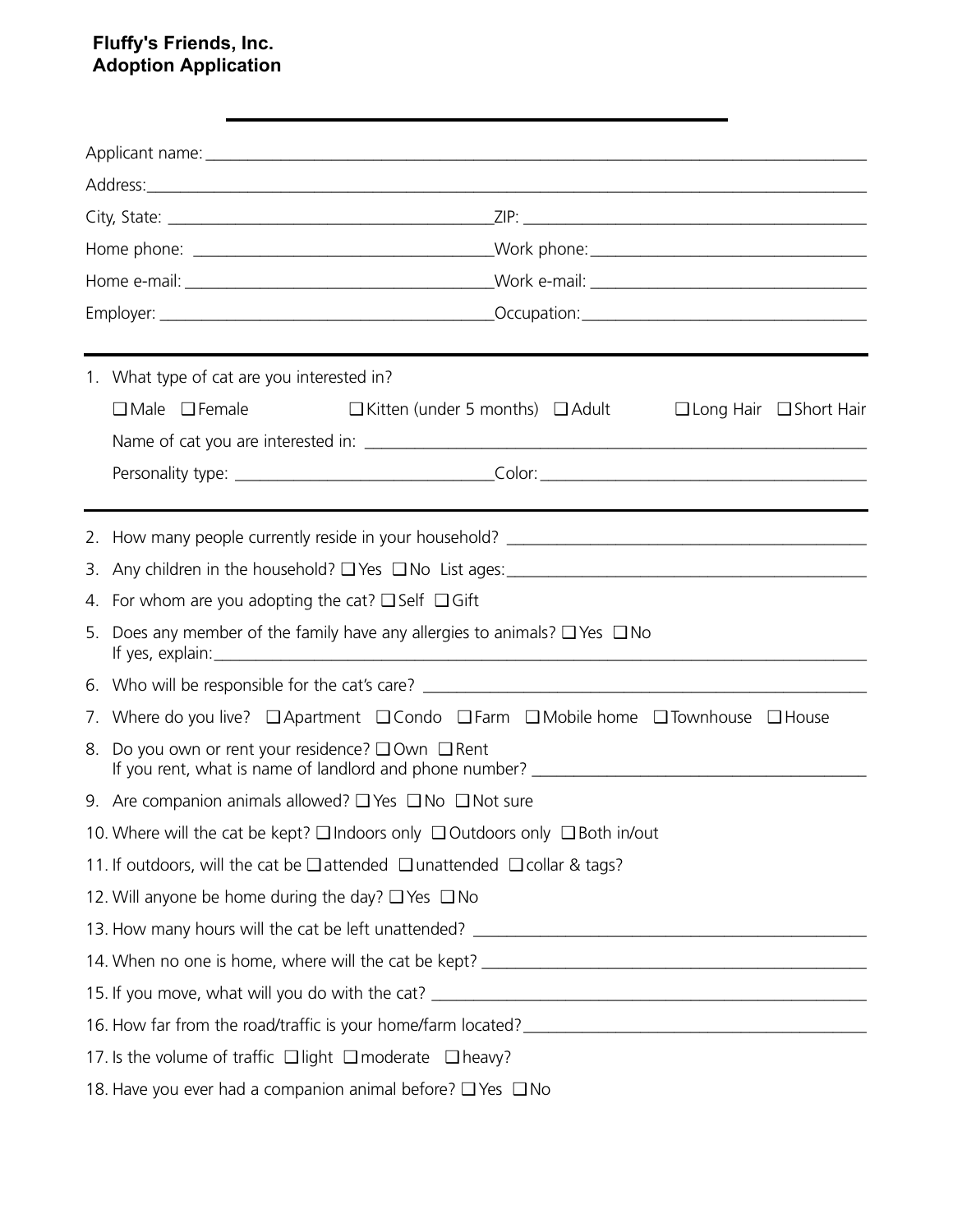## **Fluffy's Friends, Inc. Adoption Application**

| Address: <u>Address:</u> Address: Address: Address: Address: Address: Address: Address: Address: Address: Address: Address: Address: Address: Address: Address: Address: Address: Address: Address: Address: Address: Address: Addr |                                                                                                                |  |  |  |  |  |  |  |  |
|-------------------------------------------------------------------------------------------------------------------------------------------------------------------------------------------------------------------------------------|----------------------------------------------------------------------------------------------------------------|--|--|--|--|--|--|--|--|
|                                                                                                                                                                                                                                     |                                                                                                                |  |  |  |  |  |  |  |  |
|                                                                                                                                                                                                                                     |                                                                                                                |  |  |  |  |  |  |  |  |
|                                                                                                                                                                                                                                     |                                                                                                                |  |  |  |  |  |  |  |  |
|                                                                                                                                                                                                                                     |                                                                                                                |  |  |  |  |  |  |  |  |
|                                                                                                                                                                                                                                     | 1. What type of cat are you interested in?                                                                     |  |  |  |  |  |  |  |  |
|                                                                                                                                                                                                                                     | $\Box$ Male $\Box$ Female<br>$\Box$ Kitten (under 5 months) $\Box$ Adult<br>$\Box$ Long Hair $\Box$ Short Hair |  |  |  |  |  |  |  |  |
|                                                                                                                                                                                                                                     |                                                                                                                |  |  |  |  |  |  |  |  |
|                                                                                                                                                                                                                                     |                                                                                                                |  |  |  |  |  |  |  |  |
|                                                                                                                                                                                                                                     |                                                                                                                |  |  |  |  |  |  |  |  |
|                                                                                                                                                                                                                                     |                                                                                                                |  |  |  |  |  |  |  |  |
|                                                                                                                                                                                                                                     |                                                                                                                |  |  |  |  |  |  |  |  |
|                                                                                                                                                                                                                                     | 4. For whom are you adopting the cat? $\Box$ Self $\Box$ Gift                                                  |  |  |  |  |  |  |  |  |
|                                                                                                                                                                                                                                     | 5. Does any member of the family have any allergies to animals? $\Box$ Yes $\Box$ No                           |  |  |  |  |  |  |  |  |
|                                                                                                                                                                                                                                     |                                                                                                                |  |  |  |  |  |  |  |  |
|                                                                                                                                                                                                                                     | 7. Where do you live? □ Apartment □ Condo □ Farm □ Mobile home □ Townhouse □ House                             |  |  |  |  |  |  |  |  |
| 8.                                                                                                                                                                                                                                  | Do you own or rent your residence? $\square$ Own $\square$ Rent                                                |  |  |  |  |  |  |  |  |
|                                                                                                                                                                                                                                     | 9. Are companion animals allowed? $\square$ Yes $\square$ No $\square$ Not sure                                |  |  |  |  |  |  |  |  |
|                                                                                                                                                                                                                                     | 10. Where will the cat be kept? $\square$ Indoors only $\square$ Outdoors only $\square$ Both in/out           |  |  |  |  |  |  |  |  |
|                                                                                                                                                                                                                                     | 11. If outdoors, will the cat be $\square$ attended $\square$ unattended $\square$ collar & tags?              |  |  |  |  |  |  |  |  |
|                                                                                                                                                                                                                                     | 12. Will anyone be home during the day? $\Box$ Yes $\Box$ No                                                   |  |  |  |  |  |  |  |  |
|                                                                                                                                                                                                                                     | 13. How many hours will the cat be left unattended? ____________________________                               |  |  |  |  |  |  |  |  |
|                                                                                                                                                                                                                                     |                                                                                                                |  |  |  |  |  |  |  |  |
|                                                                                                                                                                                                                                     |                                                                                                                |  |  |  |  |  |  |  |  |
|                                                                                                                                                                                                                                     |                                                                                                                |  |  |  |  |  |  |  |  |
|                                                                                                                                                                                                                                     | 17. Is the volume of traffic $\Box$ light $\Box$ moderate $\Box$ heavy?                                        |  |  |  |  |  |  |  |  |
|                                                                                                                                                                                                                                     | 18. Have you ever had a companion animal before? □ Yes □ No                                                    |  |  |  |  |  |  |  |  |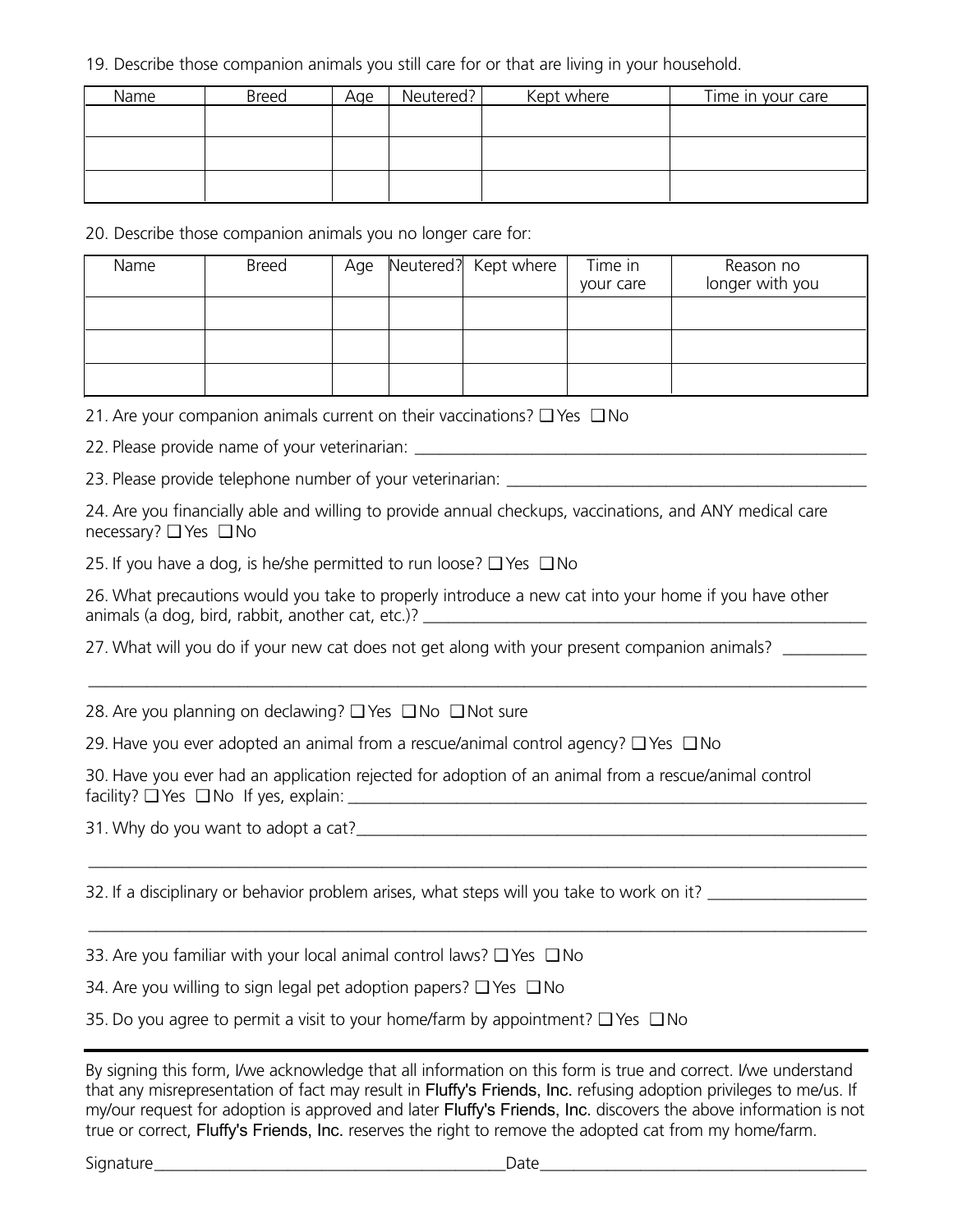19. Describe those companion animals you still care for or that are living in your household.

| Name | <b>Breed</b> | Age | Neutered? | Kept where | Time in your care |
|------|--------------|-----|-----------|------------|-------------------|
|      |              |     |           |            |                   |
|      |              |     |           |            |                   |
|      |              |     |           |            |                   |
|      |              |     |           |            |                   |
|      |              |     |           |            |                   |

20. Describe those companion animals you no longer care for:

| Name | <b>Breed</b> | Age | Neutered? Kept where | Time in<br>your care | Reason no<br>longer with you |
|------|--------------|-----|----------------------|----------------------|------------------------------|
|      |              |     |                      |                      |                              |
|      |              |     |                      |                      |                              |
|      |              |     |                      |                      |                              |

21. Are your companion animals current on their vaccinations? ❑ Yes ❑ No

22. Please provide name of your veterinarian: \_\_\_\_\_\_\_\_\_\_\_\_\_\_\_\_\_\_\_\_\_\_\_\_\_\_\_\_\_\_\_\_\_\_

23. Please provide telephone number of your veterinarian: \_\_\_\_\_\_\_\_\_\_\_\_\_\_\_\_\_\_\_\_\_\_

24. Are you financially able and willing to provide annual checkups, vaccinations, and ANY medical care necessary? ❑ Yes ❑ No

25. If you have a dog, is he/she permitted to run loose?  $\square$  Yes  $\square$  No

26. What precautions would you take to properly introduce a new cat into your home if you have other animals (a dog, bird, rabbit, another cat, etc.)?  $\frac{1}{2}$ 

\_\_\_\_\_\_\_\_\_\_\_\_\_\_\_\_\_\_\_\_\_\_\_\_\_\_\_\_\_\_\_\_\_\_\_\_\_\_\_\_\_\_\_\_\_\_\_\_\_\_\_\_\_\_\_\_\_\_\_\_\_\_\_\_\_\_\_\_\_\_\_\_\_\_\_\_\_\_\_\_\_\_\_\_\_\_\_\_\_\_\_\_\_

\_\_\_\_\_\_\_\_\_\_\_\_\_\_\_\_\_\_\_\_\_\_\_\_\_\_\_\_\_\_\_\_\_\_\_\_\_\_\_\_\_\_\_\_\_\_\_\_\_\_\_\_\_\_\_\_\_\_\_\_\_\_\_\_\_\_\_\_\_\_\_\_\_\_\_\_\_\_\_\_\_\_\_\_\_\_\_\_\_\_\_\_\_

\_\_\_\_\_\_\_\_\_\_\_\_\_\_\_\_\_\_\_\_\_\_\_\_\_\_\_\_\_\_\_\_\_\_\_\_\_\_\_\_\_\_\_\_\_\_\_\_\_\_\_\_\_\_\_\_\_\_\_\_\_\_\_\_\_\_\_\_\_\_\_\_\_\_\_\_\_\_\_\_\_\_\_\_\_\_\_\_\_\_\_\_\_

27. What will you do if your new cat does not get along with your present companion animals?

28. Are you planning on declawing? ❑ Yes ❑ No ❑ Not sure

29. Have you ever adopted an animal from a rescue/animal control agency? ❑ Yes ❑ No

30. Have you ever had an application rejected for adoption of an animal from a rescue/animal control facility? ❑ Yes ❑ No If yes, explain: \_\_\_\_\_\_\_\_\_\_\_\_\_\_\_\_\_\_\_\_\_\_\_\_\_\_\_\_\_\_\_\_\_\_\_\_\_\_\_\_\_\_\_\_\_\_\_\_\_\_\_\_\_\_\_\_\_\_\_\_\_\_

31. Why do you want to adopt a cat?\_\_\_\_\_\_\_\_\_\_\_\_\_\_\_\_\_\_\_\_\_\_\_\_\_\_\_\_\_\_\_\_\_\_\_\_\_\_\_\_\_\_\_\_\_\_\_\_\_\_\_\_\_\_\_\_\_\_\_\_\_

32. If a disciplinary or behavior problem arises, what steps will you take to work on it?

33. Are you familiar with your local animal control laws? ❑ Yes ❑ No

34. Are you willing to sign legal pet adoption papers? ❑ Yes ❑ No

35. Do you agree to permit a visit to your home/farm by appointment?  $\square$  Yes  $\square$  No

By signing this form, I/we acknowledge that all information on this form is true and correct. I/we understand that any misrepresentation of fact may result in Fluffy's Friends, Inc. refusing adoption privileges to me/us. If my/our request for adoption is approved and later Fluffy's Friends, Inc. discovers the above information is not true or correct, Fluffy's Friends, Inc. reserves the right to remove the adopted cat from my home/farm.